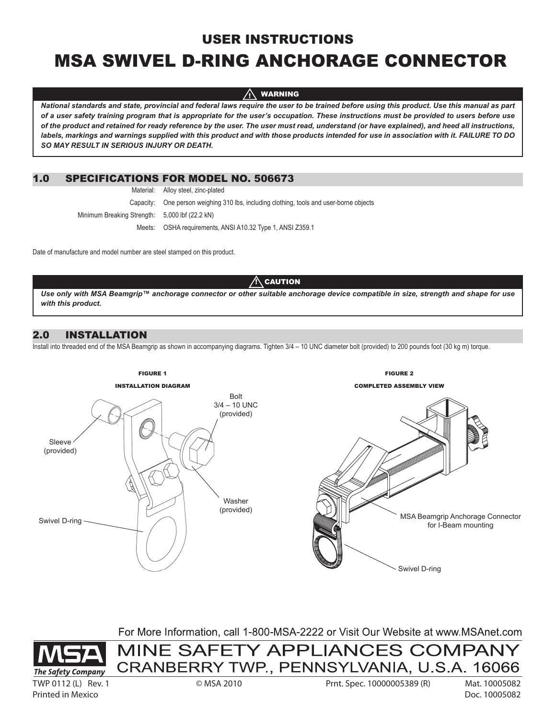# USER INSTRUCTIONS

# MSA Swivel D-ring Anchorage Connector

 WARNING **!!** 

*National standards and state, provincial and federal laws require the user to be trained before using this product. Use this manual as part of a user safety training program that is appropriate for the user's occupation. These instructions must be provided to users before use of the product and retained for ready reference by the user. The user must read, understand (or have explained), and heed all instructions, labels, markings and warnings supplied with this product and with those products intended for use in association with it. FAILURE TO DO SO MAY RESULT IN SERIOUS INJURY OR DEATH.* 

# 1.0 Specifications for Model No. 506673

Material: Alloy steel, zinc-plated

 Capacity: One person weighing 310 lbs, including clothing, tools and user-borne objects Minimum Breaking Strength: 5,000 lbf (22.2 kN)

Meets: OSHA requirements, ANSI A10.32 Type 1, ANSI Z359.1

Date of manufacture and model number are steel stamped on this product.

### $\Lambda$  caution

*Use only with MSA Beamgrip™ anchorage connector or other suitable anchorage device compatible in size, strength and shape for use with this product.*

# 2.0 Installation

Install into threaded end of the MSA Beamgrip as shown in accompanying diagrams. Tighten 3/4 – 10 UNC diameter bolt (provided) to 200 pounds foot (30 kg m) torque.



For More Information, call 1-800-MSA-2222 or Visit Our Website at www.MSAnet.com

MINE SAFETY APPLIANCES COMPANY



TWP 0112 (L) Rev. 1 © MSA 2010 Prnt. Spec. 10000005389 (R) Mat. 10005082

Printed in Mexico Doc. 10005082